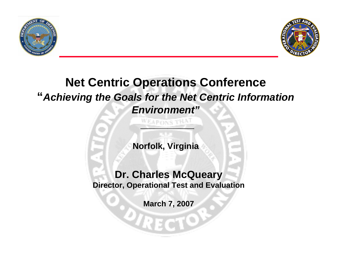



# **Net Centric Operations Conference "***Achieving the Goals for the Net Centric Information Environment"*

**Norfolk, Virginia**

**\_\_\_\_\_\_\_\_**

WEAPONS THA

**Dr. Charles McQueary Director, Operational Test and Evaluation**

**March 7, 2007**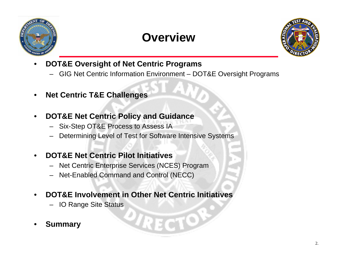

# **Overview**



- • **DOT&E Oversight of Net Centric Programs**
	- GIG Net Centric Information Environment DOT&E Oversight Programs
- •**Net Centric T&E Challenges**
- • **DOT&E Net Centric Policy and Guidance**
	- Six-Step OT&E Process to Assess IA
	- Determining Level of Test for Software Intensive Systems
- • **DOT&E Net Centric Pilot Initiatives**
	- Net Centric Enterprise Services (NCES) Program
	- Net-Enabled Command and Control (NECC)
- • **DOT&E Involvement in Other Net Centric Initiatives**
	- IO Range Site Status
- •**Summary**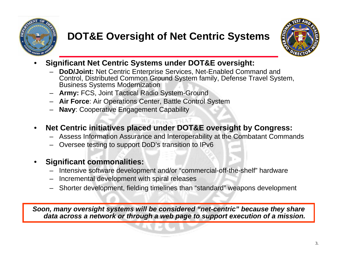

# **DOT&E Oversight of Net Centric Systems**



- • **Significant Net Centric Systems under DOT&E oversight:** 
	- **DoD/Joint:** Net Centric Enterprise Services, Net-Enabled Command and Control, Distributed Common Ground System family, Defense Travel System, Business Systems Modernization
	- **Army:** FCS, Joint Tactical Radio System-Ground
	- **Air Force**: Air Operations Center, Battle Control System
	- **Navy**: Cooperative Engagement Capability
- • **Net Centric initiatives placed under DOT&E oversight by Congress:**
	- Assess Information Assurance and Interoperability at the Combatant Commands
	- Oversee testing to support DoD's transition to IPv6
- • **Significant commonalities:**
	- Intensive software development and/or "commercial-off-the-shelf" hardware
	- Incremental development with spiral releases
	- Shorter development, fielding timelines than "standard" weapons development

*Soon, many oversight systems will be considered "net-centric" because they share data across a network or through a web page to support execution of a mission.*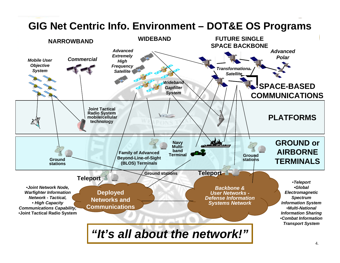#### **GIG Net Centric Info. Environment – DOT&E OS Programs**

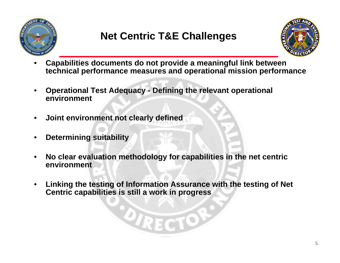

# **Net Centric T&E Challenges**



- • **Capabilities documents do not provide a meaningful link between technical performance measures and operational mission performance**
- • **Operational Test Adequacy - Defining the relevant operational environment**
- •**Joint environment not clearly defined**
- •**Determining suitability**
- • **No clear evaluation methodology for capabilities in the net centric environment**
- $\bullet$  **Linking the testing of Information Assurance with the testing of Net Centric capabilities is still a work in progress**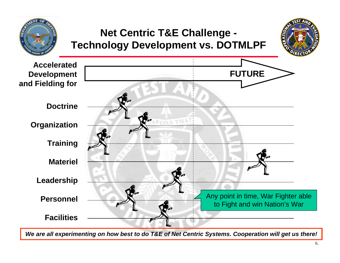

*We are all experimenting on how best to do T&E of Net Centric Systems. Cooperation will get us there!*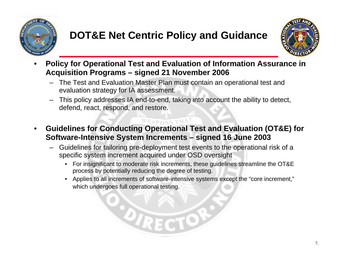

# **DOT&E Net Centric Policy and Guidance**



- • **Policy for Operational Test and Evaluation of Information Assurance in Acquisition Programs – signed 21 November 2006**
	- The Test and Evaluation Master Plan must contain an operational test and evaluation strategy for IA assessment.
	- – This policy addresses IA end-to-end, taking into account the ability to detect, defend, react, respond, and restore.
- • **Guidelines for Conducting Operational Test and Evaluation (OT&E) for Software-Intensive System Increments – signed 16 June 2003**
	- Guidelines for tailoring pre-deployment test events to the operational risk of a specific system increment acquired under OSD oversight
		- • For insignificant to moderate risk increments, these guidelines streamline the OT&E process by potentially reducing the degree of testing.
		- Applies to all increments of software-intensive systems except the "core increment," which undergoes full operational testing.

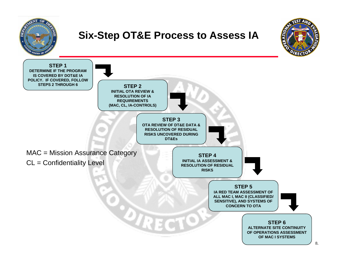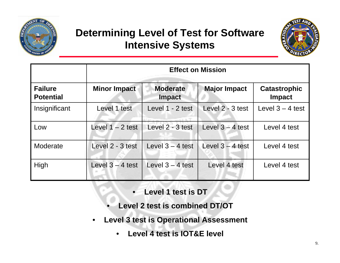

#### **Determining Level of Test for Software Intensive Systems**



|                                    | <b>Effect on Mission</b> |                                  |                     |                                      |
|------------------------------------|--------------------------|----------------------------------|---------------------|--------------------------------------|
| <b>Failure</b><br><b>Potential</b> | <b>Minor Impact</b>      | <b>Moderate</b><br><b>Impact</b> | <b>Major Impact</b> | <b>Catastrophic</b><br><b>Impact</b> |
| Insignificant                      | Level 1 test             | Level 1 - 2 test                 | Level 2 - 3 test    | Level $3 - 4$ test                   |
| Low                                | Level $1 - 2$ test       | Level 2 - 3 test                 | Level $3 - 4$ test  | Level 4 test                         |
| Moderate                           | Level 2 - 3 test         | Level $3 - 4$ test               | Level $3 - 4$ test  | Level 4 test                         |
| High                               | Level $3 - 4$ test       | Level $3 - 4$ test               | Level 4 test        | Level 4 test                         |

- •**Level 1 test is DT**
- •**Level 2 test is combined DT/OT**
- • **Level 3 test is Operational Assessment**
	- •**Level 4 test is IOT&E level**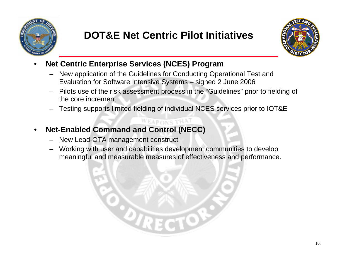

## **DOT&E Net Centric Pilot Initiatives**



- • **Net Centric Enterprise Services (NCES) Program** 
	- New application of the Guidelines for Conducting Operational Test and Evaluation for Software Intensive Systems – signed 2 June 2006
	- Pilots use of the risk assessment process in the "Guidelines" prior to fielding of the core increment
	- Testing supports limited fielding of individual NCES services prior to IOT&E

WEAPONS THA

- • **Net-Enabled Command and Control (NECC)**
	- New Lead-OTA management construct
	- Working with user and capabilities development communities to develop meaningful and measurable measures of effectiveness and performance.

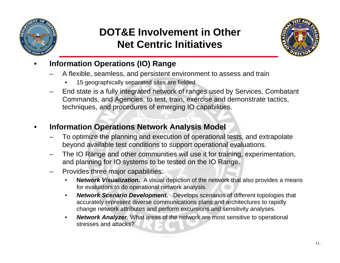

#### **DOT&E Involvement in Other Net Centric Initiatives**



- • **Information Operations (IO) Range**
	- A flexible, seamless, and persistent environment to assess and train
		- •15 geographically separated sites are fielded
	- – End state is a fully integrated network of ranges used by Services, Combatant Commands, and Agencies, to test, train, exercise and demonstrate tactics, techniques, and procedures of emerging IO capabilities.
- • **Information Operations Network Analysis Model**
	- To optimize the planning and execution of operational tests, and extrapolate beyond available test conditions to support operational evaluations.
	- The IO Range and other communities will use it for training, experimentation, and planning for IO systems to be tested on the IO Range.
	- Provides three major capabilities:
		- • **N***etwork Visualization.* A visual depiction of the network that also provides a means for evaluators to do operational network analysis.
		- • *Network Scenario Development.* Develops scenarios of different topologies that accurately represent diverse communications plans and architectures to rapidly change network attributes and perform excursions and sensitivity analyses.
		- • *Network Analyzer.* What areas of the network are most sensitive to operational stresses and attacks?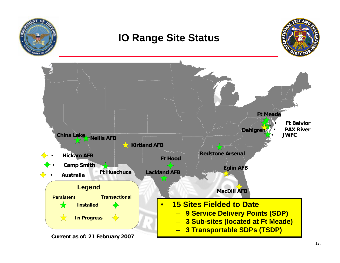

#### **IO Range Site Status**



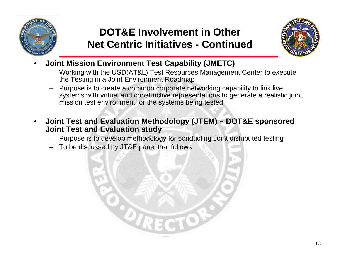

## **DOT&E Involvement in Other Net Centric Initiatives - Continued**



- • **Joint Mission Environment Test Capability (JMETC)** 
	- Working with the USD(AT&L) Test Resources Management Center to execute the Testing in a Joint Environment Roadmap
	- Purpose is to create a common corporate networking capability to link live systems with virtual and constructive representations to generate a realistic joint mission test environment for the systems being tested
- • **Joint Test and Evaluation Methodology (JTEM) – DOT&E sponsored Joint Test and Evaluation study**
	- Purpose is to develop methodology for conducting Joint distributed testing
	- To be discussed by JT&E panel that follows

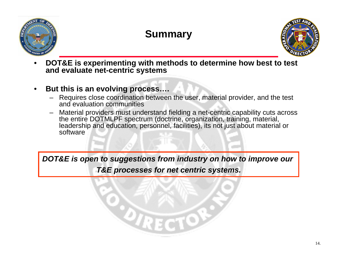

## **Summary**



• **DOT&E is experimenting with methods to determine how best to test and evaluate net-centric systems** 

#### •**But this is an evolving process….**

- – Requires close coordination between the user, material provider, and the test and evaluation communities
- – Material providers must understand fielding a net-centric capability cuts across the entire DOTMLPF spectrum (doctrine, organization, training, material, leadership and education, personnel, facilities), its not just about material or software

*DOT&E is open to suggestions from industry on how to improve our*

*T&E processes for net centric systems.*